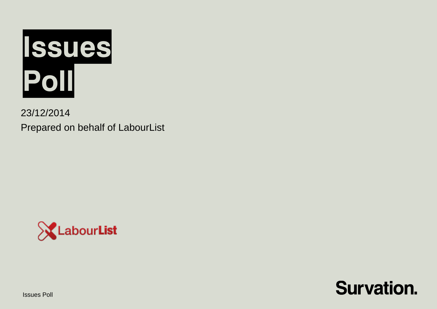

23/12/2014 Prepared on behalf of LabourList





Issues Poll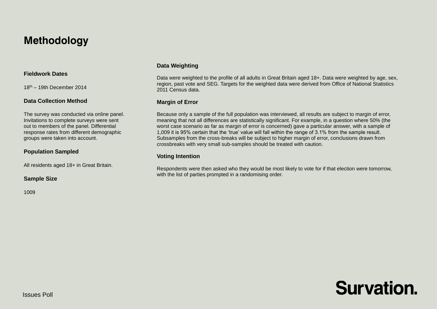# **Methodology**

## **Fieldwork Dates**

18th – 19th December 2014

#### **Data Collection Method**

The survey was conducted via online panel. Invitations to complete surveys were sent out to members of the panel. Differential response rates from different demographic groups were taken into account.

#### **Population Sampled**

All residents aged 18+ in Great Britain.

#### **Sample Size**

1009

# **Data Weighting**

Data were weighted to the profile of all adults in Great Britain aged 18+. Data were weighted by age, sex, region, past vote and SEG. Targets for the weighted data were derived from Office of National Statistics 2011 Census data.

#### **Margin of Error**

Because only a sample of the full population was interviewed, all results are subject to margin of error, meaning that not all differences are statistically significant. For example, in a question where 50% (the worst case scenario as far as margin of error is concerned) gave a particular answer, with a sample of 1,009 it is 95% certain that the 'true' value will fall within the range of 3.1% from the sample result. Subsamples from the cross-breaks will be subject to higher margin of error, conclusions drawn from crossbreaks with very small sub-samples should be treated with caution.

## **Voting Intention**

Respondents were then asked who they would be most likely to vote for if that election were tomorrow, with the list of parties prompted in a randomising order.

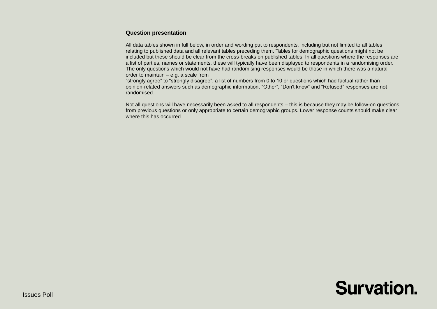#### **Question presentation**

All data tables shown in full below, in order and wording put to respondents, including but not limited to all tables relating to published data and all relevant tables preceding them. Tables for demographic questions might not be included but these should be clear from the cross-breaks on published tables. In all questions where the responses are a list of parties, names or statements, these will typically have been displayed to respondents in a randomising order. The only questions which would not have had randomising responses would be those in which there was a natural order to maintain – e.g. a scale from

"strongly agree" to "strongly disagree", a list of numbers from 0 to 10 or questions which had factual rather than opinion-related answers such as demographic information. "Other", "Don't know" and "Refused" responses are not randomised.

Not all questions will have necessarily been asked to all respondents – this is because they may be follow-on questions from previous questions or only appropriate to certain demographic groups. Lower response counts should make clear where this has occurred.

# **Survation.**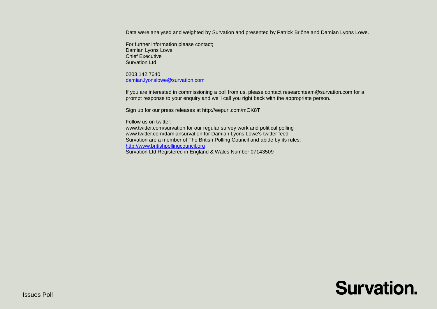Data were analysed and weighted by Survation and presented by Patrick Briône and Damian Lyons Lowe.

For further information please contact; Damian Lyons Lowe Chief Executive Survation Ltd

0203 142 7640 [damian.lyonslowe@survation.com](mailto:damian.lyonslowe@survation.com)

If you are interested in commissioning a poll from us, please contact researchteam@survation.com for a prompt response to your enquiry and we'll call you right back with the appropriate person.

Sign up for our press releases at http://eepurl.com/mOK8T

Follow us on twitter: www.twitter.com/survation for our regular survey work and political polling www.twitter.com/damiansurvation for Damian Lyons Lowe's twitter feed Survation are a member of The British Polling Council and abide by its rules: [http://www.britishpollingcouncil.org](http://www.britishpollingcouncil.org/) Survation Ltd Registered in England & Wales Number 07143509

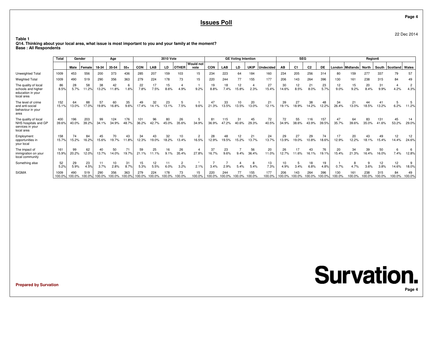# **Issues Poll**

**Table 1**

**Total Gender Age 2010 Vote GE Voting Intention**n | SEG **Region6 Would notMale Female 18-34 35-54 55+ CON**N | LAB | LD |OTHER | vote | CON | LAB | LD | UKIP |Undecided | AB | C1 | C2 | DE | London |Midlands | North | South | Scotland | Wales Unweighted Total 10099 | 453 556 | 200 373 436 | 285 207 159 103 15 | 234 223 64 184 160 | 234 205 256 314 | 80 159 277 337 79 57 Weighted Total 1009 <sup>490</sup> <sup>519</sup> <sup>290</sup> <sup>356</sup> <sup>363</sup> <sup>279</sup> <sup>224</sup> <sup>178</sup> <sup>73</sup> <sup>15</sup> <sup>220</sup> <sup>244</sup> <sup>77</sup> <sup>155</sup> <sup>177</sup> <sup>206</sup> <sup>143</sup> <sup>264</sup> <sup>396</sup> <sup>130</sup> <sup>161</sup> <sup>238</sup> <sup>315</sup> <sup>84</sup> <sup>49</sup> The quality of local 86 <sup>28</sup> <sup>58</sup> <sup>38</sup> <sup>42</sup> <sup>6</sup> <sup>22</sup> <sup>17</sup> <sup>15</sup> <sup>4</sup> <sup>1</sup> <sup>19</sup> <sup>18</sup> <sup>12</sup> <sup>4</sup> <sup>27</sup> <sup>30</sup> <sup>12</sup> <sup>21</sup> <sup>23</sup> <sup>12</sup> <sup>15</sup> <sup>20</sup> <sup>31</sup> <sup>4</sup> <sup>2</sup> schools and higher 8.5% 5.7% 11.2% 13.2% 11.8% 1.6% 7.8% 7.5% 8.6% 4.9% 9.2% 8.8% 7.4% 15.8% 2.3% 15.4% 14.6% 8.5% 8.0% 5.7% 9.0% 9.2% 8.4% 9.9% 4.2% 4.3% education in yourlocal areaThe level of crimee | 152 64 88 57 60 35 49 32 23 5 1 47 33 10 20 21 39 27 38 48 34 21 44 41 5 5 and anti-social 15.1% 13.0% 17.0% 19.8% 16.8% 9.6% 17.4% 14.1% 13.1% 7.5% 9.6% 21.3% 13.5% 13.5% 13.0% 12.1% 19.1% 18.9% 14.2% 12.2% 26.4% 13.0% 18.5% 13.2% 6.2% 11.2% behaviour in yourareaThe quality of local 400 <sup>196</sup> <sup>203</sup> <sup>99</sup> <sup>124</sup> <sup>176</sup> <sup>101</sup> <sup>96</sup> <sup>80</sup> <sup>26</sup> <sup>5</sup> <sup>81</sup> <sup>115</sup> <sup>31</sup> <sup>45</sup> <sup>72</sup> <sup>72</sup> <sup>55</sup> <sup>116</sup> <sup>157</sup> <sup>47</sup> <sup>64</sup> <sup>83</sup> <sup>131</sup> <sup>45</sup> <sup>14</sup> NHS hospitals and GP 39.6% 40.0% 39.2% 34.1% 34.9% 48.7% 36.2% 42.7% 45.0% 35.6% 34.9% 36.9% 47.2% 40.6% 29.3% 40.5% 34.9% 38.6% 43.9% 39.5% 35.7% 39.6% 35.0% 41.6% 53.2% 29.0% services in yourlocal areaEmployment 158 <sup>74</sup> <sup>84</sup> <sup>45</sup> <sup>70</sup> <sup>43</sup> <sup>34</sup> <sup>43</sup> <sup>32</sup> <sup>10</sup> <sup>2</sup> <sup>28</sup> <sup>48</sup> <sup>12</sup> <sup>21</sup> <sup>24</sup> <sup>29</sup> <sup>27</sup> <sup>29</sup> <sup>74</sup> <sup>17</sup> <sup>20</sup> <sup>43</sup> <sup>49</sup> <sup>12</sup> <sup>12</sup> opportunities in 15.7% 15.2% 16.2% 15.6% 19.7% 11.8% 12.3% 19.0% 18.2% 13.4% 16.5% 12.9% 19.5% 15.2% 13.7% 13.7% 13.9% 19.0% 10.8% 18.6% 12.9% 12.2% 18.1% 15.4% 14.4% 24.6% your localThe impact of 161 <sup>99</sup> <sup>62</sup> <sup>40</sup> <sup>50</sup> <sup>71</sup> <sup>59</sup> <sup>25</sup> <sup>16</sup> <sup>26</sup> <sup>4</sup> <sup>37</sup> <sup>23</sup> <sup>7</sup> <sup>56</sup> <sup>20</sup> <sup>26</sup> <sup>17</sup> <sup>43</sup> <sup>76</sup> <sup>20</sup> <sup>34</sup> <sup>39</sup> <sup>50</sup> <sup>6</sup> <sup>6</sup> immigration on your 15.9% 20.2% 12.0% 13.7% 14.0% 19.7% 21.1% 11.1% 9.1% 35.4% 27.8% 16.7% 9.6% 9.4% 36.4% 11.0% 12.7% 11.6% 16.1% 19.1% 15.4% 21.3% 16.4% 16.0% 7.4% 12.8% local communitySomething else6 22 29 23 11 10 31 15 12 11 2 . 1 7 4 8 13 10 5 18 19 1 8 9 12 12 9 5.2% 5.9% 4.5% 3.7% 2.8% 8.7% 5.3% 5.5% 6.0% 3.2% 2.1% 3.4% 2.9% 5.4% 5.4% 7.3% 4.9% 3.4% 6.8% 4.8% 0.7% 4.7% 3.6% 3.8% 14.6% 18.0% SIGMA <sup>1009</sup> <sup>490</sup> <sup>519</sup> <sup>290</sup> <sup>356</sup> <sup>363</sup> <sup>279</sup> <sup>224</sup> <sup>178</sup> <sup>73</sup> <sup>15</sup> <sup>220</sup> <sup>244</sup> <sup>77</sup> <sup>155</sup> <sup>177</sup> <sup>206</sup> <sup>143</sup> <sup>264</sup> <sup>396</sup> <sup>130</sup> <sup>161</sup> <sup>238</sup> <sup>315</sup> <sup>84</sup> <sup>49</sup> 100.0%100.0% 100.0% 100.0% 100.0% 100.0% 100.0% 100.0% 100.0% 100.0% 100.0% 100.0% 100.0% 100.0% 100.0% 100.0% 100.0% 100.0% 100.0% 100.0% 100.0% 100.0% 100.0% 100.0% 100.0% 100.0%

 **Q14. Thinking about your local area, what issue is most important to you and your family at the moment?Base : All Respondents**

**Prepared by Survation**

**Survation. Page 4**

**Page 4**

22 Dec 2014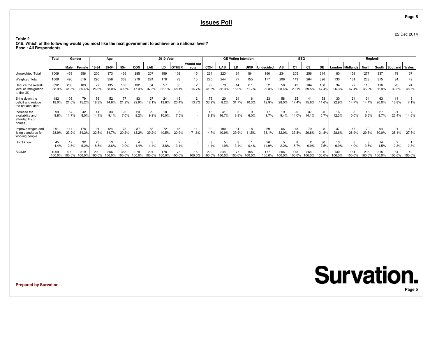# **Issues Poll**

**Table 2**

 **Q15. Which of the following would you most like the next government to achieve on a national level?Base : All Respondents**

|                                                               | Total<br>Gender |               | Age           |               |              | <b>2010 Vote</b> |              |              |                 |              | <b>GE Voting Intention</b> |               |              |             |               | <b>SEG</b>    |               |                |                | Region6      |               |                 |               |               |              |              |
|---------------------------------------------------------------|-----------------|---------------|---------------|---------------|--------------|------------------|--------------|--------------|-----------------|--------------|----------------------------|---------------|--------------|-------------|---------------|---------------|---------------|----------------|----------------|--------------|---------------|-----------------|---------------|---------------|--------------|--------------|
|                                                               |                 | Male          | Female        | 18-34         | 35-54        | $55+$            | CON          | <b>LAB</b>   | LD              | <b>OTHER</b> | <b>Would not</b><br>vote   | CON           | <b>LAB</b>   | LD          | <b>UKIP</b>   | Undecided     | AВ            | C <sub>1</sub> | C <sub>2</sub> | DE           |               | London Midlands | North         | South         | Scotland     | Wales        |
| Unweighted Total                                              | 1009            | 453           | 556           | 200           | 373          | 436              | 285          | 207          | 159             | 103          | 15                         | 234           | 223          | 64          | 184           | 160           | 234           | 205            | 256            | 314          | 80            | 159             | 277           | 337           | 79           | 57           |
| <b>Weighted Total</b>                                         | 1009            | 490           | 519           | 290           | 356          | 363              | 279          | 224          | 178             | 73           | 15                         | 220           | 244          | 77          | 155           | 177           | 206           | 143            | 264            | 396          | 130           | 161             | 238           | 315           | 84           | 49           |
| Reduce the overall<br>level of immigration<br>to the UK       | 392<br>38.9%    | 203<br>41.5%  | 189<br>36.4%  | 77<br>26.6%   | 135<br>38.0% | 180<br>49.5%     | 132<br>47.3% | 84<br>37.5%  | 57<br>32.<br>1% | 35<br>48.1%  | $\overline{2}$<br>14.7%    | 92<br>41.8%   | 79<br>32.3%  | 14<br>18.2% | 111<br>71.7%  | 52<br>29.3%   | 58<br>28.4%   | 42<br>29.1%    | 104<br>39.5%   | 188<br>47.4% | 34<br>26.3%   | 77<br>47.4%     | 110<br>46.2%  | 116<br>36.9%  | 26<br>30.3%  | 24<br>48.5%  |
| Bring down the<br>deficit and reduce<br>the national debt     | 182<br>18.0%    | 103<br>21.0%  | 79<br>15.2%   | 53<br>18.3%   | 52<br>14.6%  | 77<br>21.2%      | 83<br>29.9%  | 27<br>12.1%  | 24<br>13.6%     | 15<br>20.4%  | 2<br>13.7%                 | 75<br>33.9%   | 20<br>8.2%   | 24<br>31.7% | 16<br>10.3%   | 23<br>12.9%   | 58<br>28.0%   | 25<br>17.4%    | 15.6%          | 58<br>14.6%  | 30<br>22.9%   | 24<br>14.7%     | 34<br>14.4%   | 63<br>20.0%   | 14<br>16.8%  | 7.1%         |
| Increase the<br>availability and<br>affordability of<br>homes | 99<br>9.8%      | 57<br>11.7%   | 42<br>8.0%    | 41<br>14.1%   | 33<br>9.1%   | 25<br>7.0%       | 23<br>8.2%   | 22<br>9.9%   | 18<br>10.0%     | 7.5%         |                            | 18<br>8.2%    | 16.7%        | 6.8%        | 6.0%          | 17<br>9.7%    | 19<br>9.4%    | 20<br>14.0%    | 37<br>14.1%    | 23<br>5.7%   | 16<br>12.3%   | 5.0%            | 6.6%          | 27<br>8.7%    | 21<br>25.4%  | 14.6%        |
| Improve wages and<br>living standards for<br>working people   | 291<br>28.9%    | 114<br>23.2%  | 178<br>34.2%  | 94<br>32.5%   | 124<br>34.7% | 73<br>20.2%      | 37<br>13.2%  | 88<br>39.2%  | 72<br>40.5%     | 15<br>20.9%  | 71.6%                      | 32<br>14.7%   | 100<br>40.9% | 31<br>39.9% | 18<br>11.5%   | 59<br>33.1%   | 66<br>32.0%   | 48<br>33.8%    | 79<br>29.8%    | 98<br>24.8%  | 37<br>28.6%   | 28.9%           | 29.3%         | 94<br>30.0%   | 21<br>25.1%  | 13<br>27.5%  |
| Don't know                                                    | 45<br>4.4%      | 12<br>2.5%    | 32<br>6.2%    | 25<br>8.5%    | 13<br>3.6%   | 2.0%             | 1.4%         | .4%          | 3.8%            | 3.1%         |                            | 1.4%          | 1.9%         | 3.4%        | 0.4%          | 26<br>14.9%   | 2.2%          | 5.7%           | 2<br>0.9%      | 30<br>7.5%   | 13<br>9.9%    | 4.0%            | 3.5%          | 14<br>4.5%    | 2<br>2.3%    | 2.3%         |
| <b>SIGMA</b>                                                  | 1009<br>100.0%  | 490<br>100.0% | 519<br>100.0% | 290<br>100.0% | 356          | 363<br>$100.0$ ° | 279<br>00.0% | 224<br>00.0% | 178             | 73<br>100.0% | 15<br>100.0%               | 220<br>100.0% | 244          | 77<br>00.0% | 155<br>100.0% | 177<br>100.0% | 206<br>100.0% | 143<br>100.0%  | 264            | 396<br>00.0% | 130<br>100.0% | 161<br>100.0%   | 238<br>100.0% | 315<br>100.0% | 84<br>100.0% | 49<br>100.0% |

**Prepared by Survation**

**Page 5**

22 Dec 2014